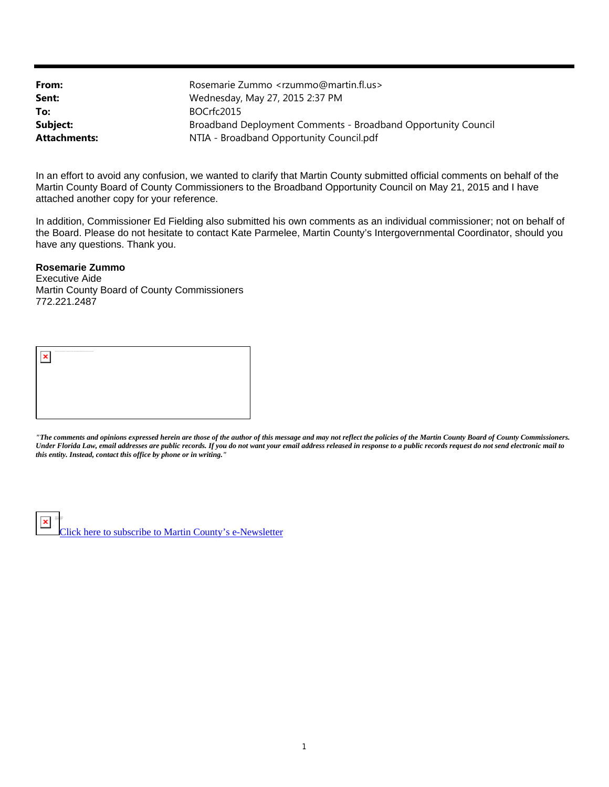| From:               | Rosemarie Zummo <rzummo@martin.fl.us></rzummo@martin.fl.us>   |
|---------------------|---------------------------------------------------------------|
| Sent:               | Wednesday, May 27, 2015 2:37 PM                               |
| To:                 | BOCrfc2015                                                    |
| Subject:            | Broadband Deployment Comments - Broadband Opportunity Council |
| <b>Attachments:</b> | NTIA - Broadband Opportunity Council.pdf                      |

In an effort to avoid any confusion, we wanted to clarify that Martin County submitted official comments on behalf of the Martin County Board of County Commissioners to the Broadband Opportunity Council on May 21, 2015 and I have attached another copy for your reference.

In addition, Commissioner Ed Fielding also submitted his own comments as an individual commissioner; not on behalf of the Board. Please do not hesitate to contact Kate Parmelee, Martin County's Intergovernmental Coordinator, should you have any questions. Thank you.

## **Rosemarie Zummo**

Right-click here to download pictures. To help protect your privacy, Outlook prevented auto matic downlo ad o f this picture from the Internet.

Executive Aide Martin County Board of County Commissioners 772.221.2487



*"The comments and opinions expressed herein are those of the author of this message and may not reflect the policies of the Martin County Board of County Commissioners. Under Florida Law, email addresses are public records. If you do not want your email address released in response to a public records request do not send electronic mail to this entity. Instead, contact this office by phone or in writing."*

Click here to subscribe to Martin County's e-Newsletter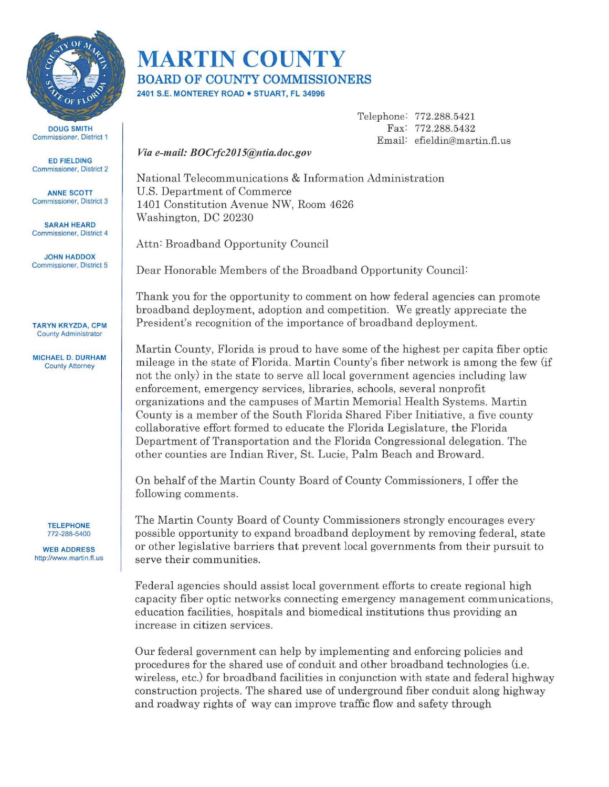

DOUG SMITH Commissioner, District 1

ED FIELDING Commissioner, District 2

ANNE SCOTT Commissioner, District 3

SARAH HEARD Commissioner, District 4

JOHN HADDOX Commissioner, District 5

TARYN KRYZDA, CPM County Administrator

MICHAEL D. DURHAM County Attorney

> **TELEPHONE** 772-288-5400

WEB ADDRESS http://www.martin.fl.us

## **MARTIN COUNTY BOARD OF COUNTY COMMISSIONERS**

2401 S.E. MONTEREY ROAD • STUART, FL 34996

Telephone: 772.288.5421 Fax: 772.288.5432 Email: efieldin@martin.fl.us

*Via e-mail: BOCrfc2015@ntia.doc.gov* 

National Telecommunications & Information Administration U.S. Department of Commerce 1401 Constitution Avenue NW, Room 4626 Washington, DC 20230

Attn: Broadband Opportunity Council

Dear Honorable Members of the Broadband Opportunity Council:

Thank you for the opportunity to comment on how federal agencies can promote broadband deployment, adoption and competition. We greatly appreciate the President's recognition of the importance of broadband deployment.

Martin County, Florida is proud to have some of the highest per capita fiber optic mileage in the state of Florida. Martin County's fiber network is among the few (if not the only) in the state to serve all local government agencies including law enforcement, emergency services, libraries, schools, several nonprofit organizations and the campuses of Martin Memorial Health Systems. Martin County is a member of the South Florida Shared Fiber Initiative, a five county collaborative effort formed to educate the Florida Legislature, the Florida Department of Transportation and the Florida Congressional delegation. The other counties are Indian River, St. Lucie, Palm Beach and Broward.

On behalf of the Martin County Board of County Commissioners, I offer the following comments.

The Martin County Board of County Commissioners strongly encourages every possible opportunity to expand broadband deployment by removing federal, state or other legislative barriers that prevent local governments from their pursuit to serve their communities.

Federal agencies should assist local government efforts to create regional high capacity fiber optic networks connecting emergency management communications, education facilities, hospitals and biomedical institutions thus providing an increase in citizen services.

Our federal government can help by implementing and enforcing policies and procedures for the shared use of conduit and other broadband technologies (i.e. wireless, etc.) for broadband facilities in conjunction with state and federal highway construction projects. The shared use of underground fiber conduit along highway and roadway rights of way can improve traffic flow and safety through